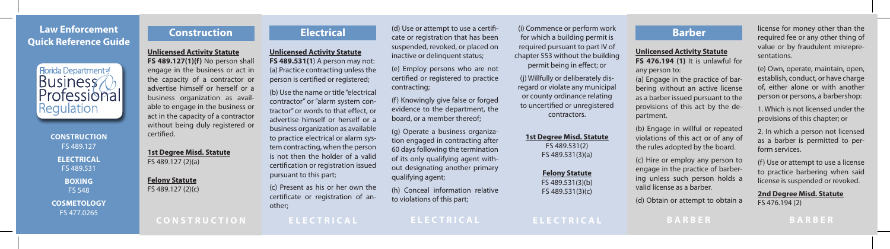# **Law Enforcement Quick Reference Guide**



**CONSTRUCTION**  FS 489.127 **ELECTRICAL**  FS 489.531 **BOXING**  FS 548 **COSMETOLOGY**  FS 477.0265

**Construction** 

**Unlicensed Activity Statute FS 489.127(1)(f)** No person shall engage in the business or act in the capacity of a contractor or advertise himself or herself or a business organization as available to engage in the business or act in the capacity of a contractor without being duly registered or certifed.

**1st Degree Misd. Statute**  FS 489.127 (2)(a)

**Felony Statute**  FS 489.127 (2)(c)

**CONSTRUCTION** 

**Electrical** 

**Unlicensed Activity Statute FS 489.531(1**) A person may not: (a) Practice contracting unless the person is certifed or registered; (b) Use the name or title "electrical contractor" or "alarm system contractor" or words to that efect, or advertise himself or herself or a business organization as available to practice electrical or alarm system contracting, when the person is not then the holder of a valid certifcation or registration issued pursuant to this part;

(c) Present as his or her own the certifcate or registration of another;

**ELECTRICAL** 

(d) Use or attempt to use a certifcate or registration that has been suspended, revoked, or placed on inactive or delinquent status;

(e) Employ persons who are not certifed or registered to practice contracting;

(f) Knowingly give false or forged evidence to the department, the board, or a member thereof;

(g) Operate a business organization engaged in contracting after 60 days following the termination of its only qualifying agent without designating another primary qualifying agent;

(h) Conceal information relative to violations of this part;

(i) Commence or perform work for which a building permit is required pursuant to part IV of chapter 553 without the building permit being in efect; or

> (j) Willfully or deliberately disregard or violate any municipal or county ordinance relating to uncertifed or unregistered contractors.

## **1st Degree Misd. Statute**

FS 489.531(2) FS 489.531(3)(a)

### **Felony Statute**

FS 489.531(3)(b) FS 489.531(3)(c)

**ELECTRICAL** 

**Barber** 

## **Unlicensed Activity Statute FS 476.194 (1)** It is unlawful for

any person to: (a) Engage in the practice of barbering without an active license as a barber issued pursuant to the provisions of this act by the department.

(b) Engage in willful or repeated violations of this act or of any of the rules adopted by the board.

(c) Hire or employ any person to engage in the practice of barbering unless such person holds a valid license as a barber.

(d) Obtain or attempt to obtain a

**BARBER** 

license for money other than the required fee or any other thing of value or by fraudulent misrepresentations.

(e) Own, operate, maintain, open, establish, conduct, or have charge of, either alone or with another person or persons, a barbershop:

1. Which is not licensed under the provisions of this chapter; or

2. In which a person not licensed as a barber is permitted to perform services.

(f) Use or attempt to use a license to practice barbering when said license is suspended or revoked.

## **2nd Degree Misd. Statute**

FS 476.194 (2)

**BARBER**